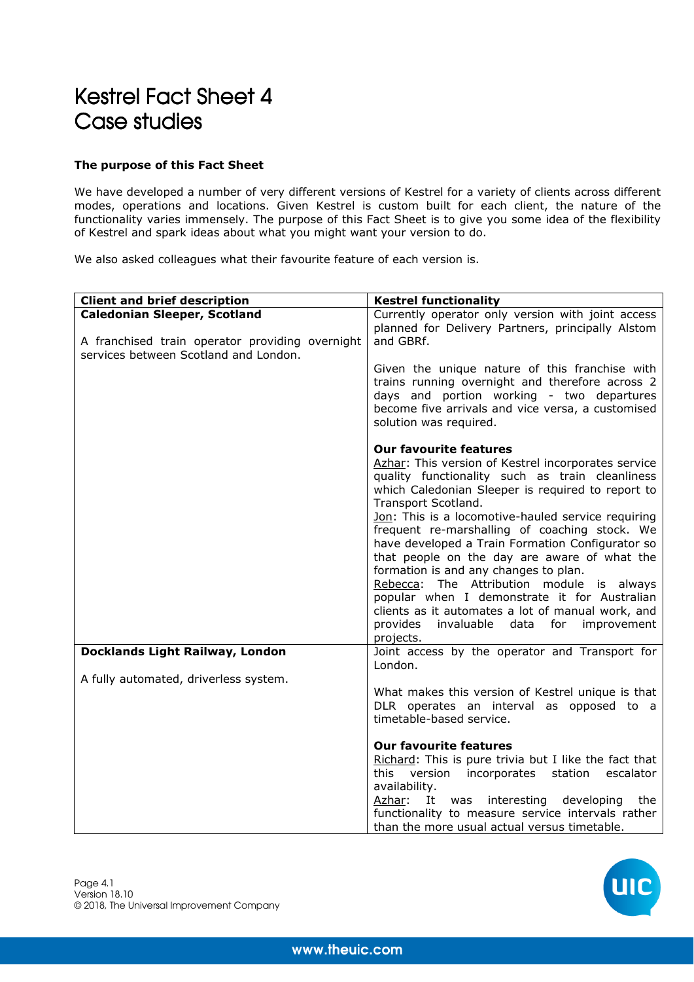## Kestrel Fact Sheet 4 Case studies

## **The purpose of this Fact Sheet**

We have developed a number of very different versions of Kestrel for a variety of clients across different modes, operations and locations. Given Kestrel is custom built for each client, the nature of the functionality varies immensely. The purpose of this Fact Sheet is to give you some idea of the flexibility of Kestrel and spark ideas about what you might want your version to do.

We also asked colleagues what their favourite feature of each version is.

| <b>Client and brief description</b>                                                                                             | <b>Kestrel functionality</b>                                                                                                                                                                                                                                                                                                                                                                                                                                                                                                                                                                                                                                                                |
|---------------------------------------------------------------------------------------------------------------------------------|---------------------------------------------------------------------------------------------------------------------------------------------------------------------------------------------------------------------------------------------------------------------------------------------------------------------------------------------------------------------------------------------------------------------------------------------------------------------------------------------------------------------------------------------------------------------------------------------------------------------------------------------------------------------------------------------|
| <b>Caledonian Sleeper, Scotland</b><br>A franchised train operator providing overnight<br>services between Scotland and London. | Currently operator only version with joint access<br>planned for Delivery Partners, principally Alstom<br>and GBRf.<br>Given the unique nature of this franchise with<br>trains running overnight and therefore across 2<br>days and portion working - two departures<br>become five arrivals and vice versa, a customised<br>solution was required.                                                                                                                                                                                                                                                                                                                                        |
|                                                                                                                                 | <b>Our favourite features</b><br>Azhar: This version of Kestrel incorporates service<br>quality functionality such as train cleanliness<br>which Caledonian Sleeper is required to report to<br>Transport Scotland.<br>Jon: This is a locomotive-hauled service requiring<br>frequent re-marshalling of coaching stock. We<br>have developed a Train Formation Configurator so<br>that people on the day are aware of what the<br>formation is and any changes to plan.<br>Rebecca: The Attribution module is always<br>popular when I demonstrate it for Australian<br>clients as it automates a lot of manual work, and<br>provides<br>invaluable data<br>for<br>improvement<br>projects. |
| Docklands Light Railway, London                                                                                                 | Joint access by the operator and Transport for<br>London.                                                                                                                                                                                                                                                                                                                                                                                                                                                                                                                                                                                                                                   |
| A fully automated, driverless system.                                                                                           | What makes this version of Kestrel unique is that<br>DLR operates an interval as opposed to a<br>timetable-based service.<br><b>Our favourite features</b><br>Richard: This is pure trivia but I like the fact that<br>this version<br>escalator<br>incorporates station<br>availability.<br>Azhar:<br>developing<br>It was<br>interesting<br>the<br>functionality to measure service intervals rather<br>than the more usual actual versus timetable.                                                                                                                                                                                                                                      |

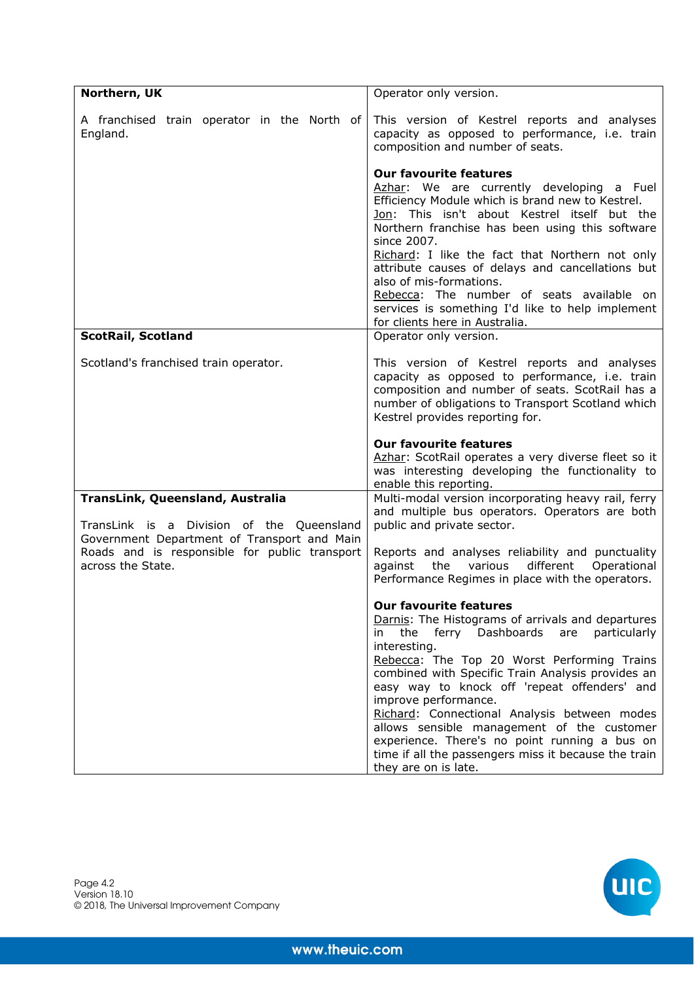| Northern, UK                                                                                                      | Operator only version.                                                                                                                                                                                                                                                                                                                                                                                                                                                                                                |
|-------------------------------------------------------------------------------------------------------------------|-----------------------------------------------------------------------------------------------------------------------------------------------------------------------------------------------------------------------------------------------------------------------------------------------------------------------------------------------------------------------------------------------------------------------------------------------------------------------------------------------------------------------|
| A franchised train operator in the North of<br>England.                                                           | This version of Kestrel reports and analyses<br>capacity as opposed to performance, i.e. train<br>composition and number of seats.                                                                                                                                                                                                                                                                                                                                                                                    |
|                                                                                                                   | <b>Our favourite features</b><br>Azhar: We are currently developing a Fuel<br>Efficiency Module which is brand new to Kestrel.<br>Jon: This isn't about Kestrel itself but the<br>Northern franchise has been using this software<br>since 2007.<br>Richard: I like the fact that Northern not only<br>attribute causes of delays and cancellations but<br>also of mis-formations.<br>Rebecca: The number of seats available on<br>services is something I'd like to help implement<br>for clients here in Australia. |
| <b>ScotRail, Scotland</b>                                                                                         | Operator only version.                                                                                                                                                                                                                                                                                                                                                                                                                                                                                                |
| Scotland's franchised train operator.                                                                             | This version of Kestrel reports and analyses<br>capacity as opposed to performance, i.e. train<br>composition and number of seats. ScotRail has a<br>number of obligations to Transport Scotland which<br>Kestrel provides reporting for.                                                                                                                                                                                                                                                                             |
|                                                                                                                   | <b>Our favourite features</b><br>Azhar: ScotRail operates a very diverse fleet so it<br>was interesting developing the functionality to<br>enable this reporting.                                                                                                                                                                                                                                                                                                                                                     |
| TransLink, Queensland, Australia<br>TransLink is a Division of the Queensland                                     | Multi-modal version incorporating heavy rail, ferry<br>and multiple bus operators. Operators are both<br>public and private sector.                                                                                                                                                                                                                                                                                                                                                                                   |
|                                                                                                                   |                                                                                                                                                                                                                                                                                                                                                                                                                                                                                                                       |
| Government Department of Transport and Main<br>Roads and is responsible for public transport<br>across the State. | Reports and analyses reliability and punctuality<br>the<br>different Operational<br>against<br>various<br>Performance Regimes in place with the operators.                                                                                                                                                                                                                                                                                                                                                            |